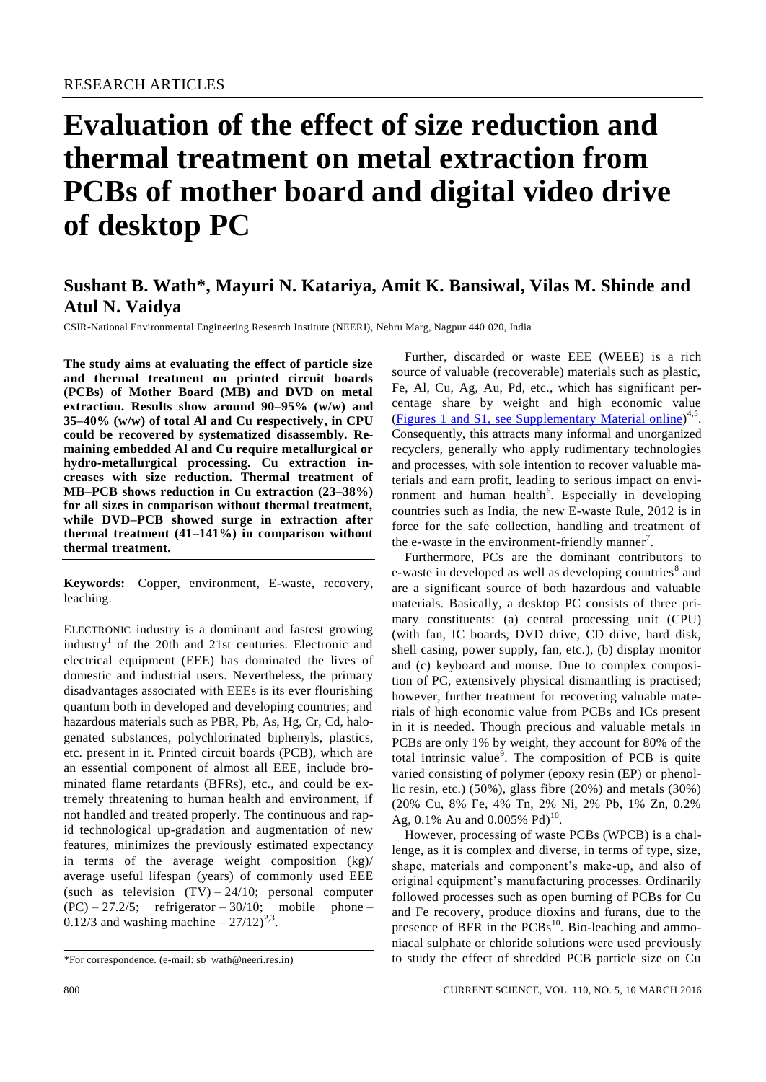# **Evaluation of the effect of size reduction and thermal treatment on metal extraction from PCBs of mother board and digital video drive of desktop PC**

# **Sushant B. Wath\*, Mayuri N. Katariya, Amit K. Bansiwal, Vilas M. Shinde and Atul N. Vaidya**

CSIR-National Environmental Engineering Research Institute (NEERI), Nehru Marg, Nagpur 440 020, India

**The study aims at evaluating the effect of particle size and thermal treatment on printed circuit boards (PCBs) of Mother Board (MB) and DVD on metal extraction. Results show around 90–95% (w/w) and 35–40% (w/w) of total Al and Cu respectively, in CPU could be recovered by systematized disassembly. Remaining embedded Al and Cu require metallurgical or hydro-metallurgical processing. Cu extraction increases with size reduction. Thermal treatment of MB–PCB shows reduction in Cu extraction (23–38%) for all sizes in comparison without thermal treatment, while DVD–PCB showed surge in extraction after thermal treatment (41–141%) in comparison without thermal treatment.**

**Keywords:** Copper, environment, E-waste, recovery, leaching.

ELECTRONIC industry is a dominant and fastest growing industry<sup>1</sup> of the 20th and 21st centuries. Electronic and electrical equipment (EEE) has dominated the lives of domestic and industrial users. Nevertheless, the primary disadvantages associated with EEEs is its ever flourishing quantum both in developed and developing countries; and hazardous materials such as PBR, Pb, As, Hg, Cr, Cd, halogenated substances, polychlorinated biphenyls, plastics, etc. present in it. Printed circuit boards (PCB), which are an essential component of almost all EEE, include brominated flame retardants (BFRs), etc., and could be extremely threatening to human health and environment, if not handled and treated properly. The continuous and rapid technological up-gradation and augmentation of new features, minimizes the previously estimated expectancy in terms of the average weight composition (kg)/ average useful lifespan (years) of commonly used EEE (such as television  $(TV) - 24/10$ ; personal computer  $(PC) - 27.2/5$ ; refrigerator  $-30/10$ ; mobile phone  $-$ 0.12/3 and washing machine  $-27/12)^{2,3}$ .

Further, discarded or waste EEE (WEEE) is a rich source of valuable (recoverable) materials such as plastic, Fe, Al, Cu, Ag, Au, Pd, etc., which has significant percentage share by weight and high economic value (Figures [1 and S1, see Supplementary Material online\)](http://www.currentscience.ac.in/Volumes/110/05/0800-suppl.pdf)<sup>4,5</sup>. Consequently, this attracts many informal and unorganized recyclers, generally who apply rudimentary technologies and processes, with sole intention to recover valuable materials and earn profit, leading to serious impact on environment and human health<sup>6</sup>. Especially in developing countries such as India, the new E-waste Rule, 2012 is in force for the safe collection, handling and treatment of the e-waste in the environment-friendly manner<sup>7</sup>.

Furthermore, PCs are the dominant contributors to e-waste in developed as well as developing countries<sup>8</sup> and are a significant source of both hazardous and valuable materials. Basically, a desktop PC consists of three primary constituents: (a) central processing unit (CPU) (with fan, IC boards, DVD drive, CD drive, hard disk, shell casing, power supply, fan, etc.), (b) display monitor and (c) keyboard and mouse. Due to complex composition of PC, extensively physical dismantling is practised; however, further treatment for recovering valuable materials of high economic value from PCBs and ICs present in it is needed. Though precious and valuable metals in PCBs are only 1% by weight, they account for 80% of the total intrinsic value<sup>9</sup>. The composition of PCB is quite varied consisting of polymer (epoxy resin (EP) or phenollic resin, etc.) (50%), glass fibre (20%) and metals (30%) (20% Cu, 8% Fe, 4% Tn, 2% Ni, 2% Pb, 1% Zn, 0.2% Ag, 0.1% Au and 0.005% Pd)<sup>10</sup>.

However, processing of waste PCBs (WPCB) is a challenge, as it is complex and diverse, in terms of type, size, shape, materials and component's make-up, and also of original equipment's manufacturing processes. Ordinarily followed processes such as open burning of PCBs for Cu and Fe recovery, produce dioxins and furans, due to the presence of BFR in the  $PCBs<sup>10</sup>$ . Bio-leaching and ammoniacal sulphate or chloride solutions were used previously to study the effect of shredded PCB particle size on Cu

<sup>\*</sup>For correspondence. (e-mail: sb\_wath@neeri.res.in)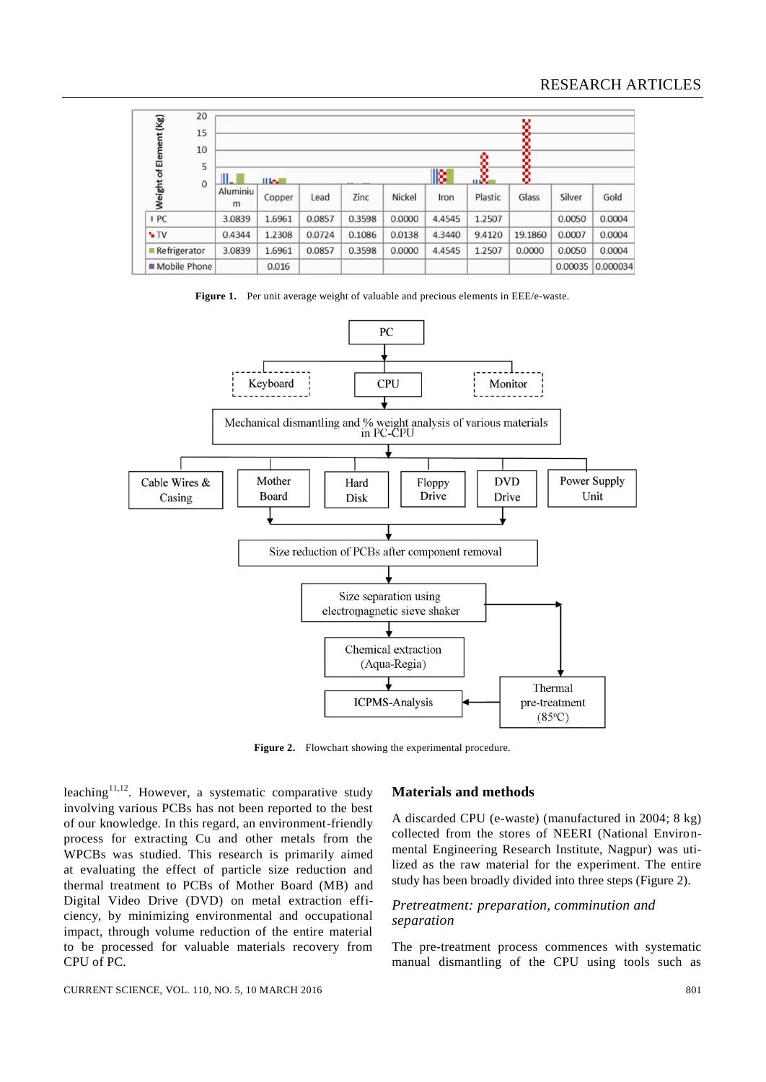| 20<br>15               |                    |        |        |        |        |               |         | v       |         |          |
|------------------------|--------------------|--------|--------|--------|--------|---------------|---------|---------|---------|----------|
| 10                     |                    |        |        |        |        |               |         | о       |         |          |
| 5                      |                    |        |        |        |        |               |         |         |         |          |
| $\mathbf{O}$           | II.<br><b>High</b> |        |        |        |        | 18<br>X.<br>۰ |         |         |         |          |
| Weight of Element (Kg) | Aluminiu<br>m      | Copper | Lead   | Zinc   | Nickel | Iron          | Plastic | Glass   | Silver  | Gold     |
| I PC                   | 3.0839             | 1.6961 | 0.0857 | 0.3598 | 0.0000 | 4.4545        | 1.2507  |         | 0.0050  | 0.0004   |
| $\sqrt{IV}$            | 0.4344             | 1.2308 | 0.0724 | 0.1086 | 0.0138 | 4.3440        | 9.4120  | 19.1860 | 0.0007  | 0.0004   |
| Refrigerator           | 3.0839             | 1.6961 | 0.0857 | 0.3598 | 0.0000 | 4.4545        | 1.2507  | 0.0000  | 0.0050  | 0.0004   |
| Mobile Phone           |                    | 0.016  |        |        |        |               |         |         | 0.00035 | 0.000034 |

Figure 1. Per unit average weight of valuable and precious elements in EEE/e-waste.



**Figure 2.** Flowchart showing the experimental procedure.

leaching<sup>11,12</sup>. However, a systematic comparative study involving various PCBs has not been reported to the best of our knowledge. In this regard, an environment-friendly process for extracting Cu and other metals from the WPCBs was studied. This research is primarily aimed at evaluating the effect of particle size reduction and thermal treatment to PCBs of Mother Board (MB) and Digital Video Drive (DVD) on metal extraction efficiency, by minimizing environmental and occupational impact, through volume reduction of the entire material to be processed for valuable materials recovery from CPU of PC.

#### **Materials and methods**

A discarded CPU (e-waste) (manufactured in 2004; 8 kg) collected from the stores of NEERI (National Environmental Engineering Research Institute, Nagpur) was utilized as the raw material for the experiment. The entire study has been broadly divided into three steps (Figure 2).

# *Pretreatment: preparation, comminution and separation*

The pre-treatment process commences with systematic manual dismantling of the CPU using tools such as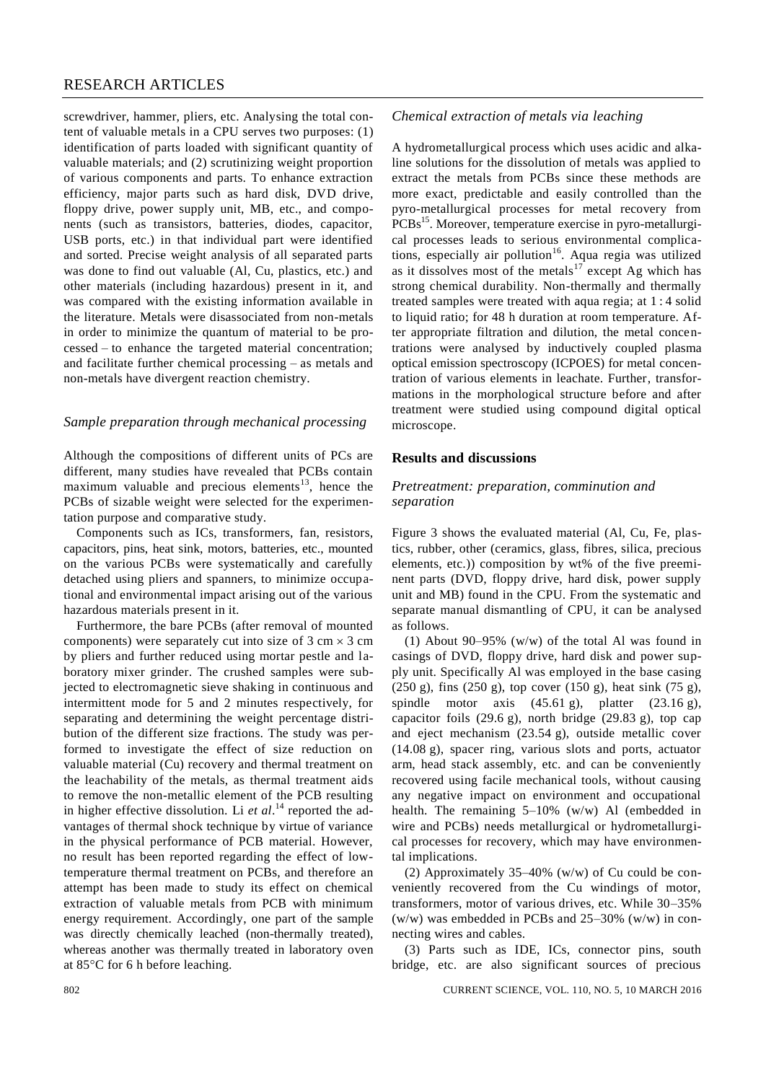# RESEARCH ARTICLES

screwdriver, hammer, pliers, etc. Analysing the total content of valuable metals in a CPU serves two purposes: (1) identification of parts loaded with significant quantity of valuable materials; and (2) scrutinizing weight proportion of various components and parts. To enhance extraction efficiency, major parts such as hard disk, DVD drive, floppy drive, power supply unit, MB, etc., and components (such as transistors, batteries, diodes, capacitor, USB ports, etc.) in that individual part were identified and sorted. Precise weight analysis of all separated parts was done to find out valuable (Al, Cu, plastics, etc.) and other materials (including hazardous) present in it, and was compared with the existing information available in the literature. Metals were disassociated from non-metals in order to minimize the quantum of material to be processed – to enhance the targeted material concentration; and facilitate further chemical processing – as metals and non-metals have divergent reaction chemistry.

### *Sample preparation through mechanical processing*

Although the compositions of different units of PCs are different, many studies have revealed that PCBs contain maximum valuable and precious elements<sup>13</sup>, hence the PCBs of sizable weight were selected for the experimentation purpose and comparative study.

Components such as ICs, transformers, fan, resistors, capacitors, pins, heat sink, motors, batteries, etc., mounted on the various PCBs were systematically and carefully detached using pliers and spanners, to minimize occupational and environmental impact arising out of the various hazardous materials present in it.

Furthermore, the bare PCBs (after removal of mounted components) were separately cut into size of  $3 \text{ cm} \times 3 \text{ cm}$ by pliers and further reduced using mortar pestle and laboratory mixer grinder. The crushed samples were subjected to electromagnetic sieve shaking in continuous and intermittent mode for 5 and 2 minutes respectively, for separating and determining the weight percentage distribution of the different size fractions. The study was performed to investigate the effect of size reduction on valuable material (Cu) recovery and thermal treatment on the leachability of the metals, as thermal treatment aids to remove the non-metallic element of the PCB resulting in higher effective dissolution. Li *et al*.<sup>14</sup> reported the advantages of thermal shock technique by virtue of variance in the physical performance of PCB material. However, no result has been reported regarding the effect of lowtemperature thermal treatment on PCBs, and therefore an attempt has been made to study its effect on chemical extraction of valuable metals from PCB with minimum energy requirement. Accordingly, one part of the sample was directly chemically leached (non-thermally treated), whereas another was thermally treated in laboratory oven at  $85^{\circ}$ C for 6 h before leaching.

# *Chemical extraction of metals via leaching*

A hydrometallurgical process which uses acidic and alkaline solutions for the dissolution of metals was applied to extract the metals from PCBs since these methods are more exact, predictable and easily controlled than the pyro-metallurgical processes for metal recovery from PCBs<sup>15</sup>. Moreover, temperature exercise in pyro-metallurgical processes leads to serious environmental complications, especially air pollution<sup>16</sup>. Aqua regia was utilized as it dissolves most of the metals<sup>17</sup> except Ag which has strong chemical durability. Non-thermally and thermally treated samples were treated with aqua regia; at 1 : 4 solid to liquid ratio; for 48 h duration at room temperature. After appropriate filtration and dilution, the metal concentrations were analysed by inductively coupled plasma optical emission spectroscopy (ICPOES) for metal concentration of various elements in leachate. Further, transformations in the morphological structure before and after treatment were studied using compound digital optical microscope.

### **Results and discussions**

# *Pretreatment: preparation, comminution and separation*

Figure 3 shows the evaluated material (Al, Cu, Fe, plastics, rubber, other (ceramics, glass, fibres, silica, precious elements, etc.)) composition by wt% of the five preeminent parts (DVD, floppy drive, hard disk, power supply unit and MB) found in the CPU. From the systematic and separate manual dismantling of CPU, it can be analysed as follows.

(1) About 90–95% (w/w) of the total Al was found in casings of DVD, floppy drive, hard disk and power supply unit. Specifically Al was employed in the base casing (250 g), fins (250 g), top cover (150 g), heat sink (75 g), spindle motor axis (45.61 g), platter (23.16 g), capacitor foils (29.6 g), north bridge (29.83 g), top cap and eject mechanism (23.54 g), outside metallic cover (14.08 g), spacer ring, various slots and ports, actuator arm, head stack assembly, etc. and can be conveniently recovered using facile mechanical tools, without causing any negative impact on environment and occupational health. The remaining 5–10% (w/w) Al (embedded in wire and PCBs) needs metallurgical or hydrometallurgical processes for recovery, which may have environmental implications.

(2) Approximately 35–40% (w/w) of Cu could be conveniently recovered from the Cu windings of motor, transformers, motor of various drives, etc. While 30–35% (w/w) was embedded in PCBs and 25–30% (w/w) in connecting wires and cables.

(3) Parts such as IDE, ICs, connector pins, south bridge, etc. are also significant sources of precious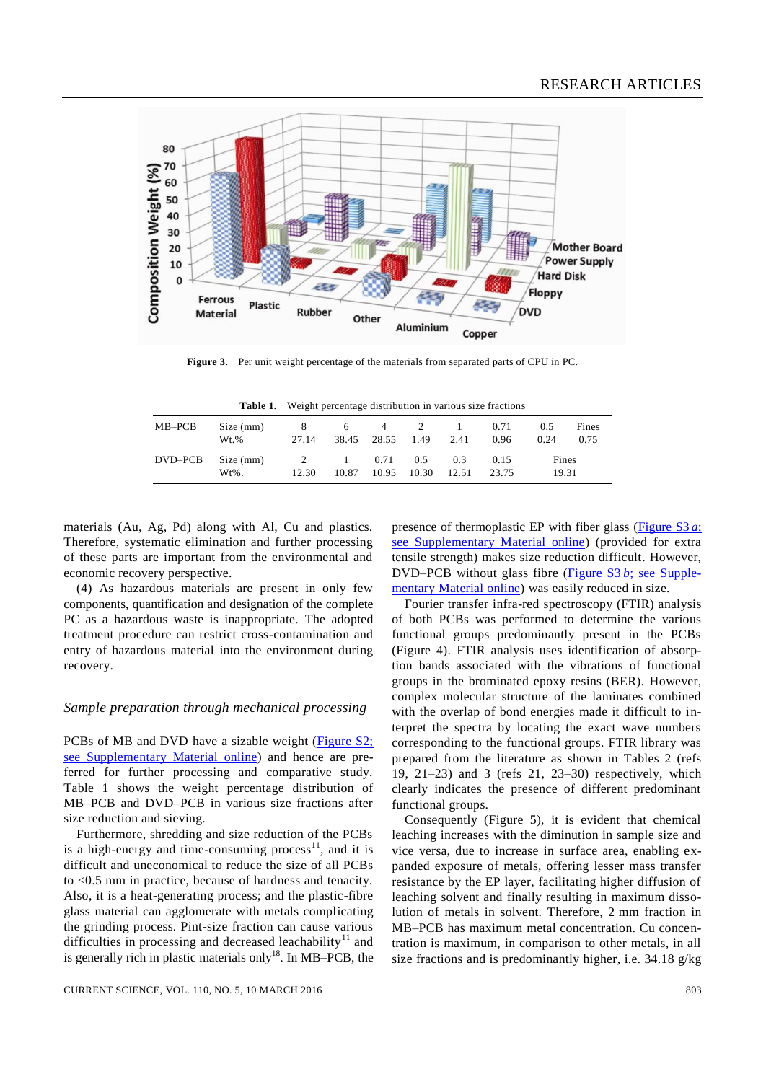

**Figure 3.** Per unit weight percentage of the materials from separated parts of CPU in PC.

| <b>Table 1.</b> Weight percentage distribution in various size fractions |  |
|--------------------------------------------------------------------------|--|
|                                                                          |  |

| MB–PCB  | Size (mm)<br>Wt.%     | 8<br>27.14              | 6                        | $4\overline{4}$<br>38.45 28.55 1.49 | 2                            | 2.41         | 0.71<br>0.96  | 0.5<br>0.24    | Fines<br>0.75 |
|---------|-----------------------|-------------------------|--------------------------|-------------------------------------|------------------------------|--------------|---------------|----------------|---------------|
| DVD–PCB | Size (mm)<br>$Wt\%$ . | $\overline{2}$<br>12.30 | $\sim$ 1 $\sim$<br>10.87 | 0.71                                | $0.5^{\circ}$<br>10.95 10.30 | 0.3<br>12.51 | 0.15<br>23.75 | Fines<br>19.31 |               |

materials (Au, Ag, Pd) along with Al, Cu and plastics. Therefore, systematic elimination and further processing of these parts are important from the environmental and economic recovery perspective.

(4) As hazardous materials are present in only few components, quantification and designation of the complete PC as a hazardous waste is inappropriate. The adopted treatment procedure can restrict cross-contamination and entry of hazardous material into the environment during recovery.

#### *Sample preparation through mechanical processing*

PCBs of MB and DVD have a sizable weight [\(Figure S2;](http://www.currentscience.ac.in/Volumes/110/05/0800-suppl.pdf)  see [Supplementary](http://www.currentscience.ac.in/Volumes/110/05/0800-suppl.pdf) Material online) and hence are preferred for further processing and comparative study. Table 1 shows the weight percentage distribution of MB–PCB and DVD–PCB in various size fractions after size reduction and sieving.

Furthermore, shredding and size reduction of the PCBs is a high-energy and time-consuming process $\frac{11}{1}$ , and it is difficult and uneconomical to reduce the size of all PCBs to <0.5 mm in practice, because of hardness and tenacity. Also, it is a heat-generating process; and the plastic-fibre glass material can agglomerate with metals complicating the grinding process. Pint-size fraction can cause various difficulties in processing and decreased leachability<sup>11</sup> and is generally rich in plastic materials only<sup>18</sup>. In MB-PCB, the

presence of thermoplastic EP with fiber glass [\(Figure](http://www.currentscience.ac.in/Volumes/110/05/0800-suppl.pdf) S3 *a*; [see Supplementary Material online\)](http://www.currentscience.ac.in/Volumes/110/05/0800-suppl.pdf) (provided for extra tensile strength) makes size reduction difficult. However, DVD–PCB without glass fibre (Figure  $S3 b$ ; see [Supple](http://www.currentscience.ac.in/Volumes/110/05/0800-suppl.pdf)mentary [Material](http://www.currentscience.ac.in/Volumes/110/05/0800-suppl.pdf) online) was easily reduced in size.

Fourier transfer infra-red spectroscopy (FTIR) analysis of both PCBs was performed to determine the various functional groups predominantly present in the PCBs (Figure 4). FTIR analysis uses identification of absorption bands associated with the vibrations of functional groups in the brominated epoxy resins (BER). However, complex molecular structure of the laminates combined with the overlap of bond energies made it difficult to interpret the spectra by locating the exact wave numbers corresponding to the functional groups. FTIR library was prepared from the literature as shown in Tables 2 (refs 19, 21–23) and 3 (refs 21, 23–30) respectively, which clearly indicates the presence of different predominant functional groups.

Consequently (Figure 5), it is evident that chemical leaching increases with the diminution in sample size and vice versa, due to increase in surface area, enabling expanded exposure of metals, offering lesser mass transfer resistance by the EP layer, facilitating higher diffusion of leaching solvent and finally resulting in maximum dissolution of metals in solvent. Therefore, 2 mm fraction in MB–PCB has maximum metal concentration. Cu concentration is maximum, in comparison to other metals, in all size fractions and is predominantly higher, i.e. 34.18 g/kg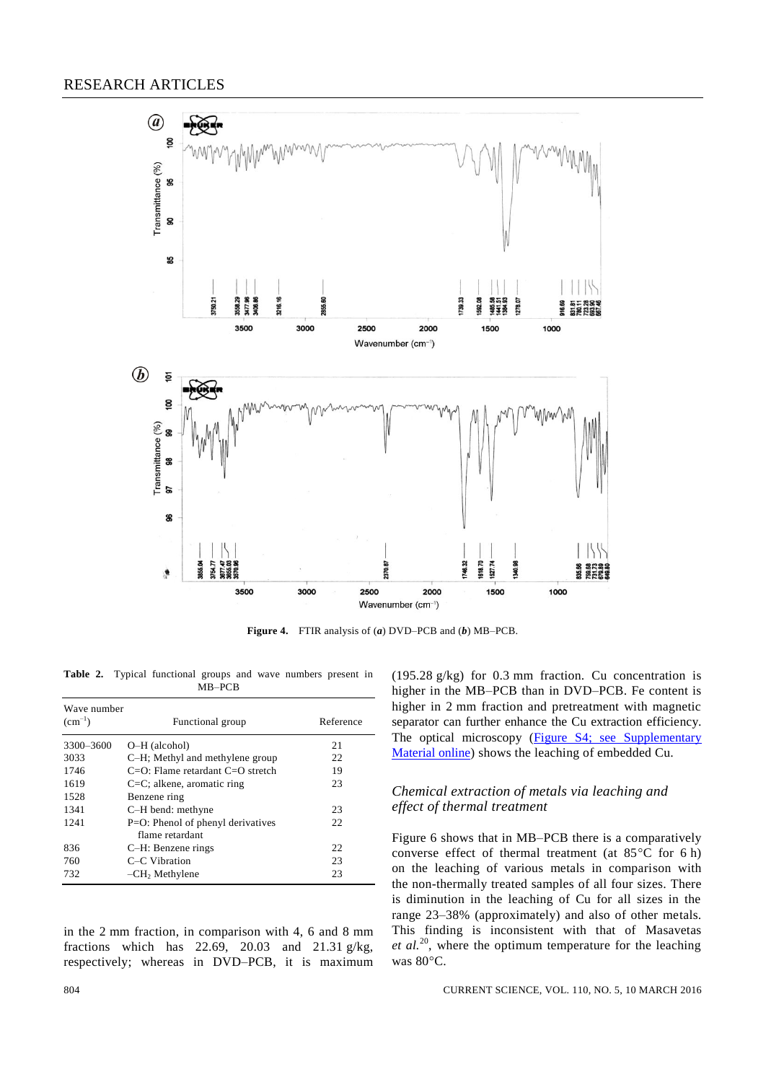

**Figure 4.** FTIR analysis of (*a*) DVD–PCB and (*b*) MB–PCB.

**Table 2.** Typical functional groups and wave numbers present in MB–PCB

| Wave number |                                                      |           |  |  |  |  |  |
|-------------|------------------------------------------------------|-----------|--|--|--|--|--|
| $(cm^{-1})$ | Functional group                                     | Reference |  |  |  |  |  |
| 3300-3600   | O-H (alcohol)                                        | 21        |  |  |  |  |  |
| 3033        | C-H; Methyl and methylene group                      | 22        |  |  |  |  |  |
| 1746        | $C=O$ : Flame retardant $C=O$ stretch                | 19        |  |  |  |  |  |
| 1619        | $C=C$ ; alkene, aromatic ring                        | 23        |  |  |  |  |  |
| 1528        | Benzene ring                                         |           |  |  |  |  |  |
| 1341        | C-H bend: methyne                                    | 23        |  |  |  |  |  |
| 1241        | P=O: Phenol of phenyl derivatives<br>flame retardant | 22        |  |  |  |  |  |
| 836         | C-H: Benzene rings                                   | 22.       |  |  |  |  |  |
| 760         | C-C Vibration                                        | 23        |  |  |  |  |  |
| 732         | $-CH2$ Methylene                                     | 23        |  |  |  |  |  |

in the 2 mm fraction, in comparison with 4, 6 and 8 mm fractions which has 22.69, 20.03 and 21.31 g/kg, respectively; whereas in DVD–PCB, it is maximum (195.28 g/kg) for 0.3 mm fraction. Cu concentration is higher in the MB–PCB than in DVD–PCB. Fe content is higher in 2 mm fraction and pretreatment with magnetic separator can further enhance the Cu extraction efficiency. The optical microscopy (Figure S4; see Supplementary [Material online\)](http://www.currentscience.ac.in/Volumes/110/05/0800-suppl.pdf) shows the leaching of embedded Cu.

# *Chemical extraction of metals via leaching and effect of thermal treatment*

Figure 6 shows that in MB–PCB there is a comparatively converse effect of thermal treatment (at  $85^{\circ}$ C for 6 h) on the leaching of various metals in comparison with the non-thermally treated samples of all four sizes. There is diminution in the leaching of Cu for all sizes in the range 23–38% (approximately) and also of other metals. This finding is inconsistent with that of Masavetas *et al.*<sup>20</sup>, where the optimum temperature for the leaching was 80°C.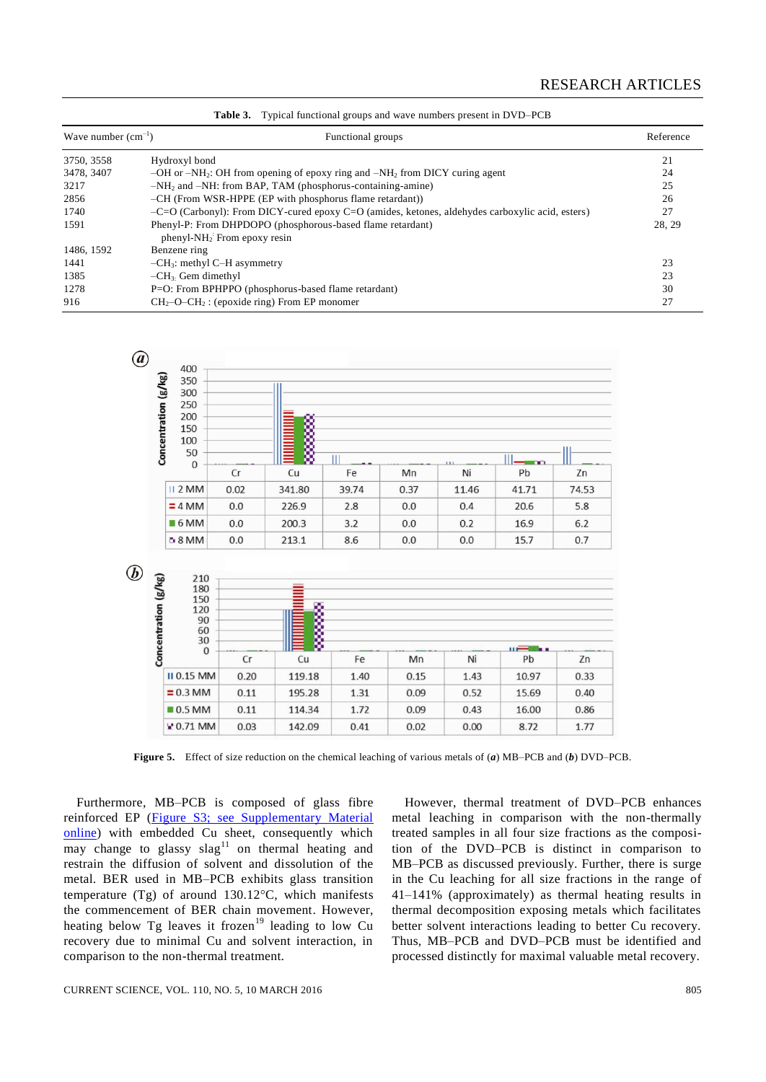| Wave number $(cm^{-1})$ | Functional groups                                                                                 | Reference |  |
|-------------------------|---------------------------------------------------------------------------------------------------|-----------|--|
| 3750, 3558              | Hydroxyl bond                                                                                     | 21        |  |
| 3478, 3407              | $-OH$ or $-NH_2$ : OH from opening of epoxy ring and $-NH_2$ from DICY curing agent               | 24        |  |
| 3217                    | $-NH2$ and $-NH$ : from BAP, TAM (phosphorus-containing-amine)                                    | 25        |  |
| 2856                    | -CH (From WSR-HPPE (EP with phosphorus flame retardant))                                          | 26        |  |
| 1740                    | $-C=O$ (Carbonyl): From DICY-cured epoxy C=O (amides, ketones, aldehydes carboxylic acid, esters) | 27        |  |
| 1591                    | Phenyl-P: From DHPDOPO (phosphorous-based flame retardant)<br>$phenyl-NH2$ : From epoxy resin     | 28, 29    |  |
| 1486, 1592              | Benzene ring                                                                                      |           |  |
| 1441                    | $-CH_3$ : methyl C-H asymmetry                                                                    | 23        |  |
| 1385                    | $-CH3$ . Gem dimethyl                                                                             | 23        |  |
| 1278                    | P=O: From BPHPPO (phosphorus-based flame retardant)                                               | 30        |  |
| 916                     | $CH_2-O-CH_2$ : (epoxide ring) From EP monomer                                                    | 27        |  |

**Table 3.** Typical functional groups and wave numbers present in DVD–PCB



**Figure 5.** Effect of size reduction on the chemical leaching of various metals of (*a*) MB–PCB and (*b*) DVD–PCB.

Furthermore, MB–PCB is composed of glass fibre reinforced EP [\(Figure S3; see Supplementary Material](http://www.currentscience.ac.in/Volumes/110/05/0800-suppl.pdf)  [online\)](http://www.currentscience.ac.in/Volumes/110/05/0800-suppl.pdf) with embedded Cu sheet, consequently which may change to glassy  $slag<sup>11</sup>$  on thermal heating and restrain the diffusion of solvent and dissolution of the metal. BER used in MB–PCB exhibits glass transition temperature  $(Tg)$  of around 130.12 °C, which manifests the commencement of BER chain movement. However, heating below Tg leaves it frozen<sup>19</sup> leading to low Cu recovery due to minimal Cu and solvent interaction, in comparison to the non-thermal treatment.

However, thermal treatment of DVD–PCB enhances metal leaching in comparison with the non-thermally treated samples in all four size fractions as the composition of the DVD–PCB is distinct in comparison to MB–PCB as discussed previously. Further, there is surge in the Cu leaching for all size fractions in the range of 41–141% (approximately) as thermal heating results in thermal decomposition exposing metals which facilitates better solvent interactions leading to better Cu recovery. Thus, MB–PCB and DVD–PCB must be identified and processed distinctly for maximal valuable metal recovery.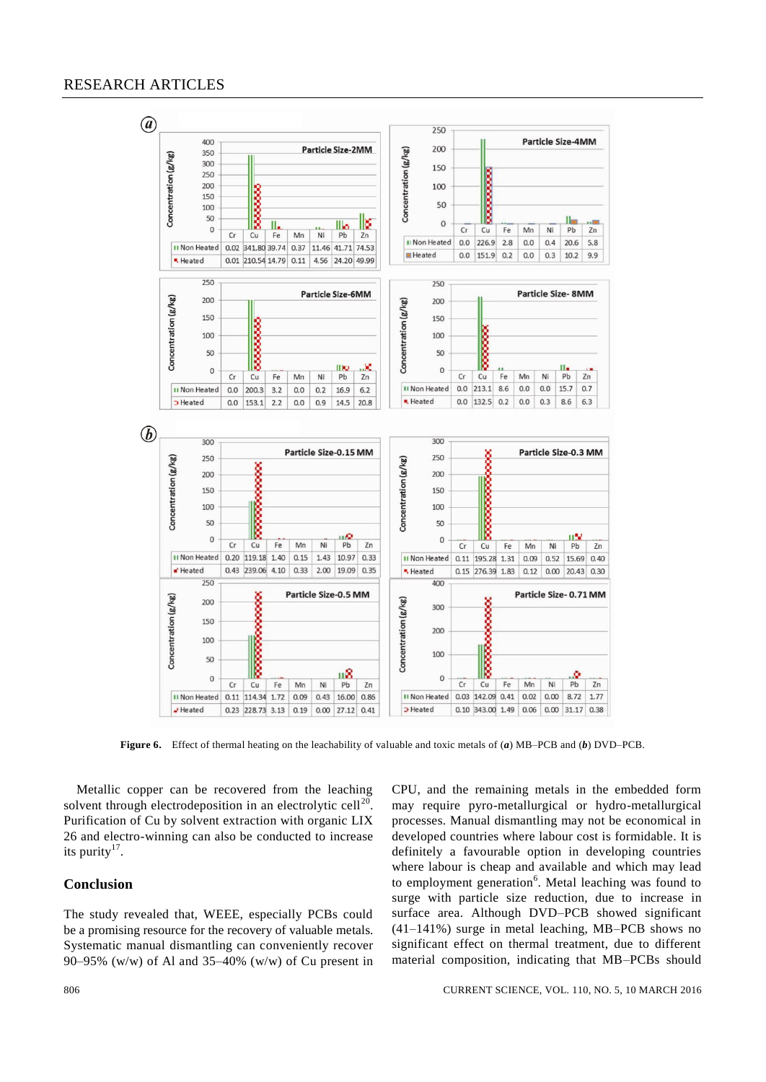

**Figure 6.** Effect of thermal heating on the leachability of valuable and toxic metals of (*a*) MB–PCB and (*b*) DVD–PCB.

Metallic copper can be recovered from the leaching solvent through electrodeposition in an electrolytic cell<sup>20</sup>. Purification of Cu by solvent extraction with organic LIX 26 and electro-winning can also be conducted to increase its purity $17$ .

# **Conclusion**

The study revealed that, WEEE, especially PCBs could be a promising resource for the recovery of valuable metals. Systematic manual dismantling can conveniently recover 90–95% (w/w) of Al and 35–40% (w/w) of Cu present in CPU, and the remaining metals in the embedded form may require pyro-metallurgical or hydro-metallurgical processes. Manual dismantling may not be economical in developed countries where labour cost is formidable. It is definitely a favourable option in developing countries where labour is cheap and available and which may lead to employment generation<sup>6</sup>. Metal leaching was found to surge with particle size reduction, due to increase in surface area. Although DVD–PCB showed significant (41–141%) surge in metal leaching, MB–PCB shows no significant effect on thermal treatment, due to different material composition, indicating that MB–PCBs should